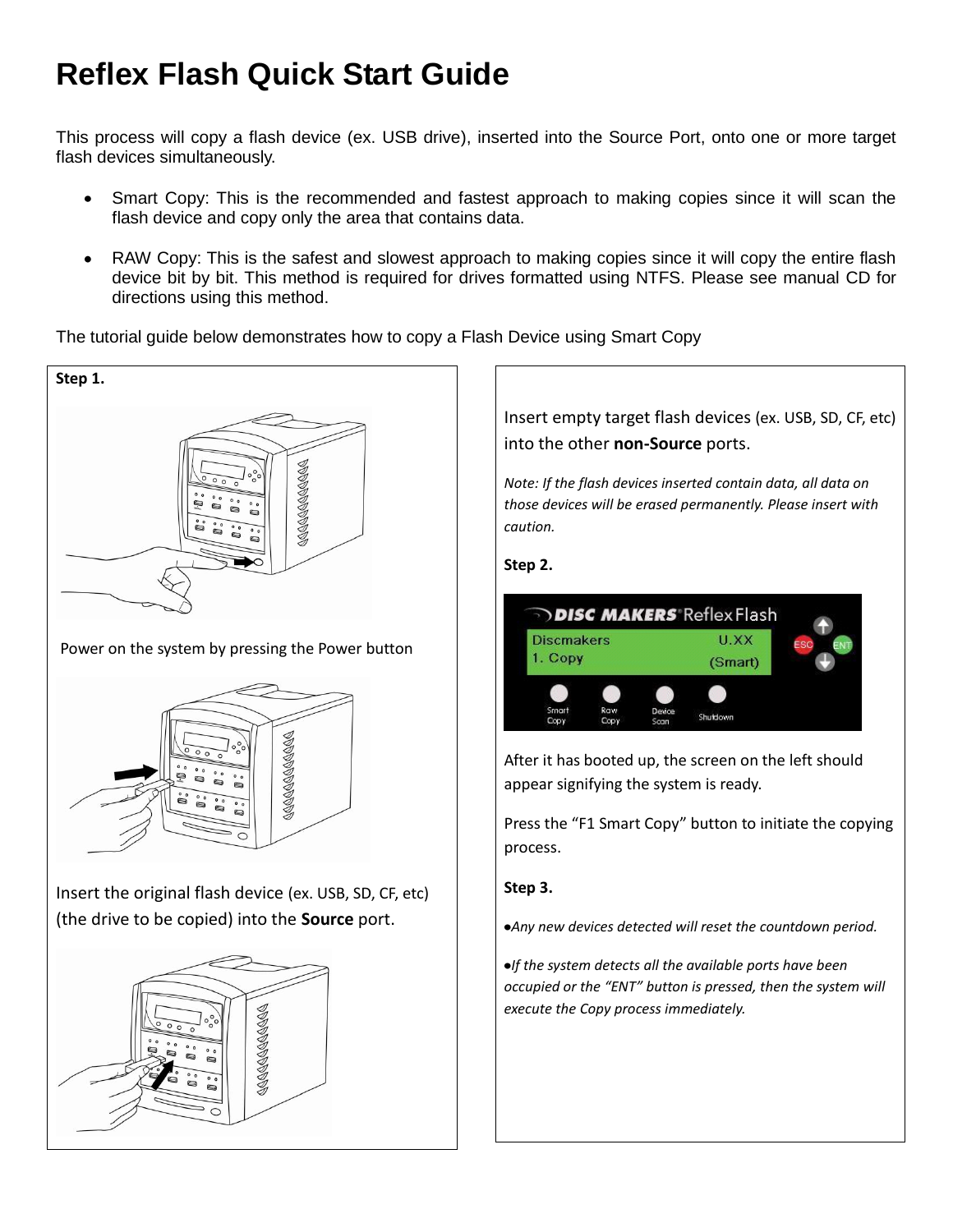## **Reflex Flash Quick Start Guide**

This process will copy a flash device (ex. USB drive), inserted into the Source Port, onto one or more target flash devices simultaneously.

- Smart Copy: This is the recommended and fastest approach to making copies since it will scan the flash device and copy only the area that contains data.
- RAW Copy: This is the safest and slowest approach to making copies since it will copy the entire flash device bit by bit. This method is required for drives formatted using NTFS. Please see manual CD for directions using this method.

The tutorial guide below demonstrates how to copy a Flash Device using Smart Copy







Insert the original flash device (ex. USB, SD, CF, etc) (the drive to be copied) into the **Source** port.



Insert empty target flash devices (ex. USB, SD, CF, etc) into the other **non-Source** ports.

*Note: If the flash devices inserted contain data, all data on those devices will be erased permanently. Please insert with caution.*

## **Step 2.**



After it has booted up, the screen on the left should appear signifying the system is ready.

Press the "F1 Smart Copy" button to initiate the copying process.

## **Step 3.**

*Any new devices detected will reset the countdown period.*

*If the system detects all the available ports have been occupied or the "ENT" button is pressed, then the system will execute the Copy process immediately.*